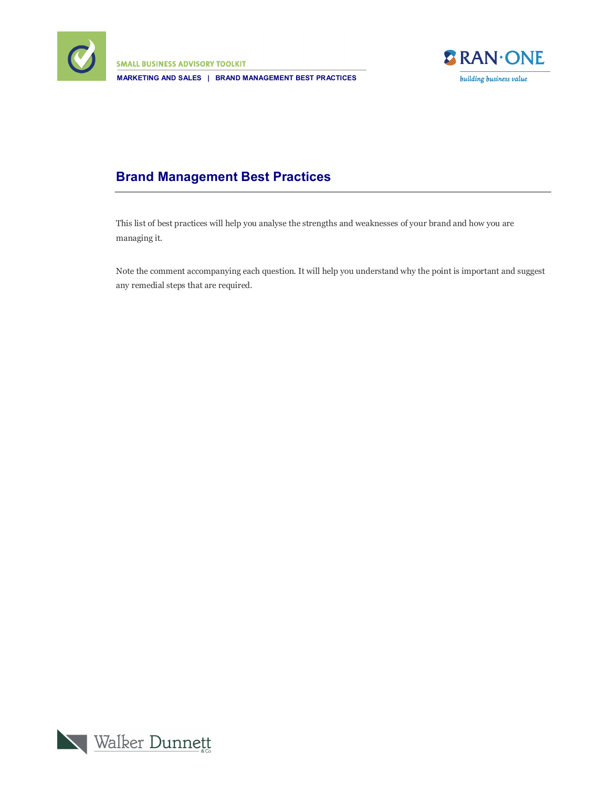

**SMALL BUSINESS ADVISORY TOOLKIT MARKETING AND SALES | BRAND MANAGEMENT BEST PRACTICES**



## **Brand Management Best Practices**

This list of best practices will help you analyse the strengths and weaknesses of your brand and how you are managing it.

Note the comment accompanying each question. It will help you understand why the point is important and suggest any remedial steps that are required.

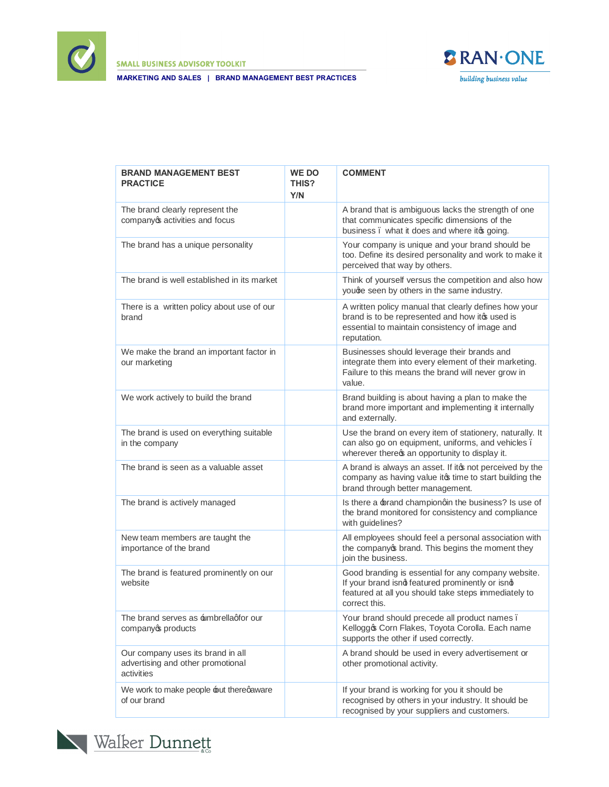

**SMALL BUSINESS ADVISORY TOOLKIT** 

**MARKETING AND SALES | BRAND MANAGEMENT BEST PRACTICES**



| <b>BRAND MANAGEMENT BEST</b><br><b>PRACTICE</b>                                      | <b>WE DO</b><br>THIS?<br>Y/N | <b>COMMENT</b>                                                                                                                                                                  |
|--------------------------------------------------------------------------------------|------------------------------|---------------------------------------------------------------------------------------------------------------------------------------------------------------------------------|
| The brand clearly represent the<br>companyos activities and focus                    |                              | A brand that is ambiguous lacks the strength of one<br>that communicates specific dimensions of the<br>business. what it does and where it to going.                            |
| The brand has a unique personality                                                   |                              | Your company is unique and your brand should be<br>too. Define its desired personality and work to make it<br>perceived that way by others.                                     |
| The brand is well established in its market                                          |                              | Think of yourself versus the competition and also how<br>youge seen by others in the same industry.                                                                             |
| There is a written policy about use of our<br>brand                                  |                              | A written policy manual that clearly defines how your<br>brand is to be represented and how it is used is<br>essential to maintain consistency of image and<br>reputation.      |
| We make the brand an important factor in<br>our marketing                            |                              | Businesses should leverage their brands and<br>integrate them into every element of their marketing.<br>Failure to this means the brand will never grow in<br>value.            |
| We work actively to build the brand                                                  |                              | Brand building is about having a plan to make the<br>brand more important and implementing it internally<br>and externally.                                                     |
| The brand is used on everything suitable<br>in the company                           |                              | Use the brand on every item of stationery, naturally. It<br>can also go on equipment, uniforms, and vehicles.<br>wherever thereos an opportunity to display it.                 |
| The brand is seen as a valuable asset                                                |                              | A brand is always an asset. If itcs not perceived by the<br>company as having value it t time to start building the<br>brand through better management.                         |
| The brand is actively managed                                                        |                              | Is there a brand championqin the business? Is use of<br>the brand monitored for consistency and compliance<br>with guidelines?                                                  |
| New team members are taught the<br>importance of the brand                           |                              | All employees should feel a personal association with<br>the companyop brand. This begins the moment they<br>join the business.                                                 |
| The brand is featured prominently on our<br>website                                  |                              | Good branding is essential for any company website.<br>If your brand isnd featured prominently or isnd<br>featured at all you should take steps immediately to<br>correct this. |
| The brand serves as <b>±</b> mbrellagfor our<br>companyop products                   |                              | Your brand should precede all product names.<br>Kelloggo Corn Flakes, Toyota Corolla. Each name<br>supports the other if used correctly.                                        |
| Our company uses its brand in all<br>advertising and other promotional<br>activities |                              | A brand should be used in every advertisement or<br>other promotional activity.                                                                                                 |
| We work to make people but thereqaware<br>of our brand                               |                              | If your brand is working for you it should be<br>recognised by others in your industry. It should be<br>recognised by your suppliers and customers.                             |